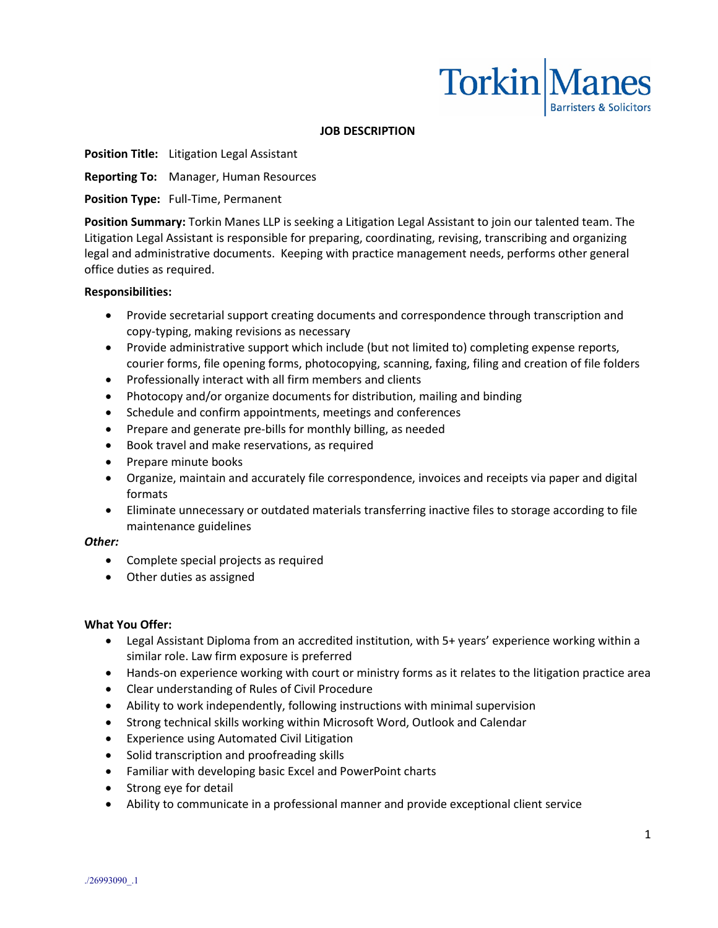

### **JOB DESCRIPTION**

**Position Title:** Litigation Legal Assistant

**Reporting To:** Manager, Human Resources

**Position Type:** Full-Time, Permanent

**Position Summary:** Torkin Manes LLP is seeking a Litigation Legal Assistant to join our talented team. The Litigation Legal Assistant is responsible for preparing, coordinating, revising, transcribing and organizing legal and administrative documents. Keeping with practice management needs, performs other general office duties as required.

### **Responsibilities:**

- Provide secretarial support creating documents and correspondence through transcription and copy-typing, making revisions as necessary
- Provide administrative support which include (but not limited to) completing expense reports, courier forms, file opening forms, photocopying, scanning, faxing, filing and creation of file folders
- Professionally interact with all firm members and clients
- Photocopy and/or organize documents for distribution, mailing and binding
- Schedule and confirm appointments, meetings and conferences
- Prepare and generate pre-bills for monthly billing, as needed
- Book travel and make reservations, as required
- Prepare minute books
- Organize, maintain and accurately file correspondence, invoices and receipts via paper and digital formats
- Eliminate unnecessary or outdated materials transferring inactive files to storage according to file maintenance guidelines

### *Other:*

- Complete special projects as required
- Other duties as assigned

### **What You Offer:**

- Legal Assistant Diploma from an accredited institution, with 5+ years' experience working within a similar role. Law firm exposure is preferred
- Hands-on experience working with court or ministry forms as it relates to the litigation practice area
- Clear understanding of Rules of Civil Procedure
- Ability to work independently, following instructions with minimal supervision
- Strong technical skills working within Microsoft Word, Outlook and Calendar
- Experience using Automated Civil Litigation
- Solid transcription and proofreading skills
- Familiar with developing basic Excel and PowerPoint charts
- Strong eye for detail
- Ability to communicate in a professional manner and provide exceptional client service